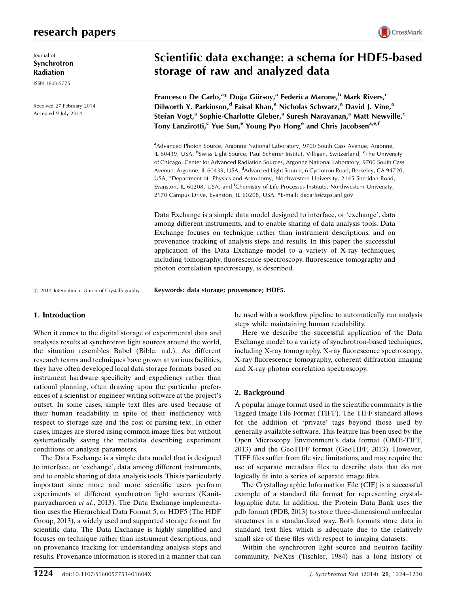## research papers

Journal of Synchrotron Radiation

ISSN 1600-5775

Received 27 February 2014 Accepted 9 July 2014

# Scientific data exchange: a schema for HDF5-based storage of raw and analyzed data

Francesco De Carlo,<sup>a</sup>\* Doğa Gürsoy,<sup>a</sup> Federica Marone,<sup>b</sup> Mark Rivers,<sup>c</sup> Dilworth Y. Parkinson,<sup>d</sup> Faisal Khan,<sup>a</sup> Nicholas Schwarz,<sup>a</sup> David J. Vine,<sup>a</sup> Stefan Vogt,<sup>a</sup> Sophie-Charlotte Gleber,<sup>a</sup> Suresh Narayanan,<sup>a</sup> Matt Newville,<sup>c</sup> Tony Lanzirotti,<sup>c</sup> Yue Sun,<sup>e</sup> Young Pyo Hong<sup>e</sup> and Chris Jacobsen<sup>a,e,f</sup>

<sup>a</sup>Advanced Photon Source, Argonne National Laboratory, 9700 South Cass Avenue, Argonne, IL 60439, USA, <sup>b</sup>Swiss Light Source, Paul Scherrer Institut, Villigen, Switzerland, <sup>c</sup>The University of Chicago, Center for Advanced Radiation Sources, Argonne National Laboratory, 9700 South Cass Avenue, Argonne, IL 60439, USA, <sup>d</sup>Advanced Light Source, 6 Cyclotron Road, Berkeley, CA 94720, USA, <sup>e</sup>Department of Physics and Astronomy, Northwestern University, 2145 Sheridan Road, Evanston, IL 60208, USA, and <sup>f</sup>Chemistry of Life Processes Institute, Northwestern University, 2170 Campus Drive, Evanston, IL 60208, USA. \*E-mail: decarlo@aps.anl.gov

Data Exchange is a simple data model designed to interface, or 'exchange', data among different instruments, and to enable sharing of data analysis tools. Data Exchange focuses on technique rather than instrument descriptions, and on provenance tracking of analysis steps and results. In this paper the successful application of the Data Exchange model to a variety of X-ray techniques, including tomography, fluorescence spectroscopy, fluorescence tomography and photon correlation spectroscopy, is described.

 $\odot$  2014 International Union of Crystallography

Keywords: data storage; provenance; HDF5.

#### 1. Introduction

When it comes to the digital storage of experimental data and analyses results at synchrotron light sources around the world, the situation resembles Babel (Bible, n.d.). As different research teams and techniques have grown at various facilities, they have often developed local data storage formats based on instrument hardware specificity and expediency rather than rational planning, often drawing upon the particular preferences of a scientist or engineer writing software at the project's outset. In some cases, simple text files are used because of their human readability in spite of their inefficiency with respect to storage size and the cost of parsing text. In other cases, images are stored using common image files, but without systematically saving the metadata describing experiment conditions or analysis parameters.

The Data Exchange is a simple data model that is designed to interface, or 'exchange', data among different instruments, and to enable sharing of data analysis tools. This is particularly important since more and more scientific users perform experiments at different synchrotron light sources (Kanitpanyacharoen et al., 2013). The Data Exchange implementation uses the Hierarchical Data Format 5, or HDF5 (The HDF Group, 2013), a widely used and supported storage format for scientific data. The Data Exchange is highly simplified and focuses on technique rather than instrument descriptions, and on provenance tracking for understanding analysis steps and results. Provenance information is stored in a manner that can be used with a workflow pipeline to automatically run analysis steps while maintaining human readability.

Here we describe the successful application of the Data Exchange model to a variety of synchrotron-based techniques, including X-ray tomography, X-ray fluorescence spectroscopy, X-ray fluorescence tomography, coherent diffraction imaging and X-ray photon correlation spectroscopy.

#### 2. Background

A popular image format used in the scientific community is the Tagged Image File Format (TIFF). The TIFF standard allows for the addition of 'private' tags beyond those used by generally available software. This feature has been used by the Open Microscopy Environment's data format (OME-TIFF, 2013) and the GeoTIFF format (GeoTIFF, 2013). However, TIFF files suffer from file size limitations, and may require the use of separate metadata files to describe data that do not logically fit into a series of separate image files.

The Crystallographic Information File (CIF) is a successful example of a standard file format for representing crystallographic data. In addition, the Protein Data Bank uses the pdb format (PDB, 2013) to store three-dimensional molecular structures in a standardized way. Both formats store data in standard text files, which is adequate due to the relatively small size of these files with respect to imaging datasets.

Within the synchrotron light source and neutron facility community, NeXus (Tischler, 1984) has a long history of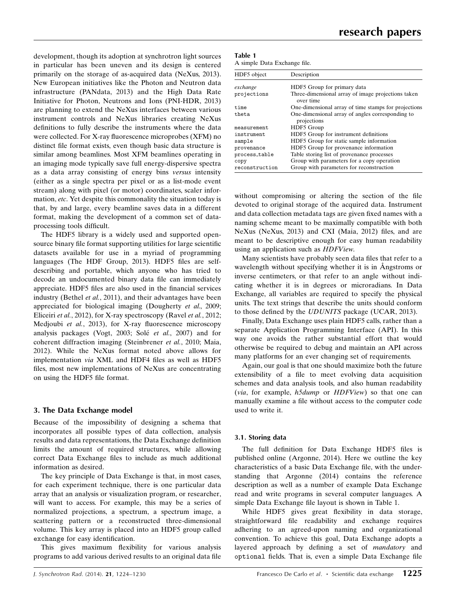development, though its adoption at synchrotron light sources in particular has been uneven and its design is centered primarily on the storage of as-acquired data (NeXus, 2013). New European initiatives like the Photon and Neutron data infrastructure (PANdata, 2013) and the High Data Rate Initiative for Photon, Neutrons and Ions (PNI-HDR, 2013) are planning to extend the NeXus interfaces between various instrument controls and NeXus libraries creating NeXus definitions to fully describe the instruments where the data were collected. For X-ray fluorescence microprobes (XFM) no distinct file format exists, even though basic data structure is similar among beamlines. Most XFM beamlines operating in an imaging mode typically save full energy-dispersive spectra as a data array consisting of energy bins versus intensity (either as a single spectra per pixel or as a list-mode event stream) along with pixel (or motor) coordinates, scaler information, etc. Yet despite this commonality the situation today is that, by and large, every beamline saves data in a different format, making the development of a common set of dataprocessing tools difficult.

The HDF5 library is a widely used and supported opensource binary file format supporting utilities for large scientific datasets available for use in a myriad of programming languages (The HDF Group, 2013). HDF5 files are selfdescribing and portable, which anyone who has tried to decode an undocumented binary data file can immediately appreciate. HDF5 files are also used in the financial services industry (Bethel et al., 2011), and their advantages have been appreciated for biological imaging (Dougherty et al., 2009; Eliceiri et al., 2012), for X-ray spectroscopy (Ravel et al., 2012; Medjoubi et al., 2013), for X-ray fluorescence microscopy analysis packages (Vogt, 2003; Solé et al., 2007) and for coherent diffraction imaging (Steinbrener et al., 2010; Maia, 2012). While the NeXus format noted above allows for implementation via XML and HDF4 files as well as HDF5 files, most new implementations of NeXus are concentrating on using the HDF5 file format.

#### 3. The Data Exchange model

Because of the impossibility of designing a schema that incorporates all possible types of data collection, analysis results and data representations, the Data Exchange definition limits the amount of required structures, while allowing correct Data Exchange files to include as much additional information as desired.

The key principle of Data Exchange is that, in most cases, for each experiment technique, there is one particular data array that an analysis or visualization program, or researcher, will want to access. For example, this may be a series of normalized projections, a spectrum, a spectrum image, a scattering pattern or a reconstructed three-dimensional volume. This key array is placed into an HDF5 group called exchange for easy identification.

This gives maximum flexibility for various analysis programs to add various derived results to an original data file

#### Table 1

|  | A simple Data Exchange file. |
|--|------------------------------|
|--|------------------------------|

| HDF5 object           | Description                                                                              |  |  |
|-----------------------|------------------------------------------------------------------------------------------|--|--|
| exchange              | HDF5 Group for primary data                                                              |  |  |
| projections           | Three-dimensional array of image projections taken<br>over time                          |  |  |
| time                  | One-dimensional array of time stamps for projections                                     |  |  |
| theta                 | One-dimensional array of angles corresponding to<br>projections                          |  |  |
| measurement           | HDF5 Group                                                                               |  |  |
| instrument            | HDF5 Group for instrument definitions                                                    |  |  |
| sample                | HDF5 Group for static sample information                                                 |  |  |
| provenance            | HDF5 Group for provenance information                                                    |  |  |
| process_table<br>copy | Table storing list of provenance processes<br>Group with parameters for a copy operation |  |  |
| reconstruction        | Group with parameters for reconstruction                                                 |  |  |

without compromising or altering the section of the file devoted to original storage of the acquired data. Instrument and data collection metadata tags are given fixed names with a naming scheme meant to be maximally compatible with both NeXus (NeXus, 2013) and CXI (Maia, 2012) files, and are meant to be descriptive enough for easy human readability using an application such as HDFView.

Many scientists have probably seen data files that refer to a wavelength without specifying whether it is in Angstroms or inverse centimeters, or that refer to an angle without indicating whether it is in degrees or microradians. In Data Exchange, all variables are required to specify the physical units. The text strings that describe the units should conform to those defined by the UDUNITS package (UCAR, 2013).

Finally, Data Exchange uses plain HDF5 calls, rather than a separate Application Programming Interface (API). In this way one avoids the rather substantial effort that would otherwise be required to debug and maintain an API across many platforms for an ever changing set of requirements.

Again, our goal is that one should maximize both the future extensibility of a file to meet evolving data acquisition schemes and data analysis tools, and also human readability (via, for example, h5dump or HDFView) so that one can manually examine a file without access to the computer code used to write it.

#### 3.1. Storing data

The full definition for Data Exchange HDF5 files is published online (Argonne, 2014). Here we outline the key characteristics of a basic Data Exchange file, with the understanding that Argonne (2014) contains the reference description as well as a number of example Data Exchange read and write programs in several computer languages. A simple Data Exchange file layout is shown in Table 1.

While HDF5 gives great flexibility in data storage, straightforward file readability and exchange requires adhering to an agreed-upon naming and organizational convention. To achieve this goal, Data Exchange adopts a layered approach by defining a set of mandatory and optional fields. That is, even a simple Data Exchange file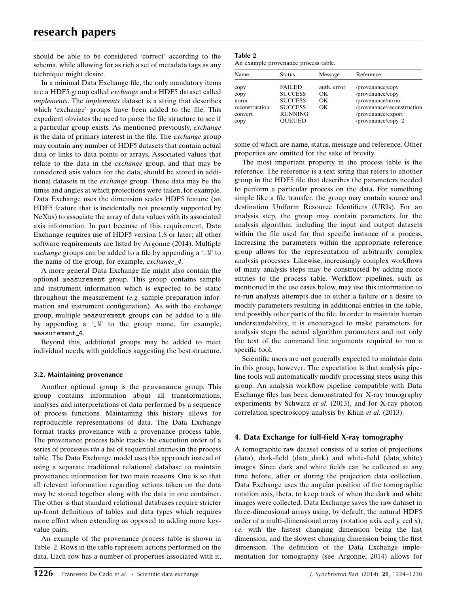should be able to be considered 'correct' according to the schema, while allowing for as rich a set of metadata tags as any technique might desire.

In a minimal Data Exchange file, the only mandatory items are a HDF5 group called exchange and a HDF5 dataset called implements. The implements dataset is a string that describes which 'exchange' groups have been added to the file. This expedient obviates the need to parse the file structure to see if a particular group exists. As mentioned previously, exchange is the data of primary interest in the file. The exchange group may contain any number of HDF5 datasets that contain actual data or links to data points or arrays. Associated values that relate to the data in the exchange group, and that may be considered axis values for the data, should be stored in additional datasets in the exchange group. These data may be the times and angles at which projections were taken, for example. Data Exchange uses the dimension scales HDF5 feature (an HDF5 feature that is incidentally not presently supported by NeXus) to associate the array of data values with its associated axis information. In part because of this requirement, Data Exchange requires use of HDF5 version 1.8 or later; all other software requirements are listed by Argonne (2014). Multiple exchange groups can be added to a file by appending a  $\cdot N$  to the name of the group, for example, exchange\_4.

A more general Data Exchange file might also contain the optional measurement group. This group contains sample and instrument information which is expected to be static throughout the measurement (e.g. sample preparation information and instrument configuration). As with the exchange group, multiple measurement groups can be added to a file by appending a  $\cdot N'$  to the group name, for example, measurement 4.

Beyond this, additional groups may be added to meet individual needs, with guidelines suggesting the best structure.

#### 3.2. Maintaining provenance

Another optional group is the provenance group. This group contains information about all transformations, analyses and interpretations of data performed by a sequence of process functions. Maintaining this history allows for reproducible representations of data. The Data Exchange format tracks provenance with a provenance process table. The provenance process table tracks the execution order of a series of processes via a list of sequential entries in the process table. The Data Exchange model uses this approach instead of using a separate traditional relational database to maintain provenance information for two main reasons. One is so that all relevant information regarding actions taken on the data may be stored together along with the data in one container. The other is that standard relational databases require stricter up-front definitions of tables and data types which requires more effort when extending as opposed to adding more keyvalue pairs.

An example of the provenance process table is shown in Table 2. Rows in the table represent actions performed on the data. Each row has a number of properties associated with it,

| Table 2 |  |
|---------|--|
|---------|--|

|  |  | An example provenance process table. |  |  |
|--|--|--------------------------------------|--|--|
|--|--|--------------------------------------|--|--|

| Name                                                      | <b>Status</b>                                                                                          | Message                       | Reference                                                                                                                          |
|-----------------------------------------------------------|--------------------------------------------------------------------------------------------------------|-------------------------------|------------------------------------------------------------------------------------------------------------------------------------|
| copy<br>copy<br>norm<br>reconstruction<br>convert<br>copy | <b>FAILED</b><br><b>SUCCESS</b><br><b>SUCCESS</b><br><b>SUCCESS</b><br><b>RUNNING</b><br><b>OUEUED</b> | auth. error<br>OК<br>OК<br>OK | /provenance/copy<br>/provenance/copy<br>/provenance/norm<br>/provenance/reconstruction<br>/provenance/export<br>/provenance/copy_2 |

some of which are name, status, message and reference. Other properties are omitted for the sake of brevity.

The most important property in the process table is the reference. The reference is a text string that refers to another group in the HDF5 file that describes the parameters needed to perform a particular process on the data. For something simple like a file transfer, the group may contain source and destination Uniform Resource Identifiers (URIs). For an analysis step, the group may contain parameters for the analysis algorithm, including the input and output datasets within the file used for that specific instance of a process. Increasing the parameters within the appropriate reference group allows for the representation of arbitrarily complex analysis processes. Likewise, increasingly complex workflows of many analysis steps may be constructed by adding more entries to the process table. Workflow pipelines, such as mentioned in the use cases below, may use this information to re-run analysis attempts due to either a failure or a desire to modify parameters resulting in additional entries in the table, and possibly other parts of the file. In order to maintain human understandability, it is encouraged to make parameters for analysis steps the actual algorithm parameters and not only the text of the command line arguments required to run a specific tool.

Scientific users are not generally expected to maintain data in this group, however. The expectation is that analysis pipeline tools will automatically modify processing steps using this group. An analysis workflow pipeline compatible with Data Exchange files has been demonstrated for X-ray tomography experiments by Schwarz et al. (2013), and for X-ray photon correlation spectroscopy analysis by Khan et al. (2013).

#### 4. Data Exchange for full-field X-ray tomography

A tomographic raw dataset consists of a series of projections (data), dark-field (data\_dark) and white-field (data\_white) images. Since dark and white fields can be collected at any time before, after or during the projection data collection, Data Exchange uses the angular position of the tomographic rotation axis, theta, to keep track of when the dark and white images were collected. Data Exchange saves the raw dataset in three-dimensional arrays using, by default, the natural HDF5 order of a multi-dimensional array (rotation axis, ccd y, ccd x), i.e. with the fastest changing dimension being the last dimension, and the slowest changing dimension being the first dimension. The definition of the Data Exchange implementation for tomography (see Argonne, 2014) allows for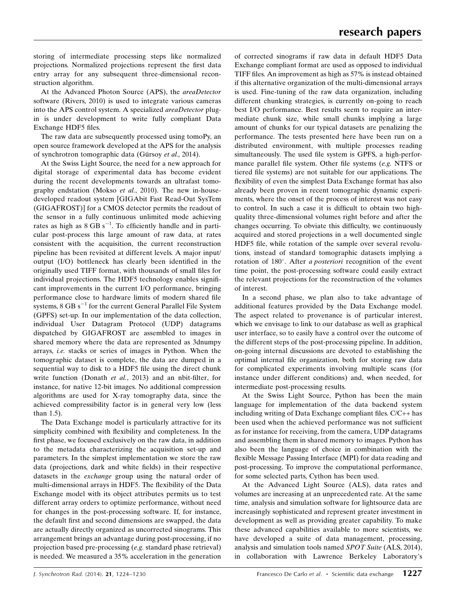storing of intermediate processing steps like normalized projections. Normalized projections represent the first data entry array for any subsequent three-dimensional reconstruction algorithm.

At the Advanced Photon Source (APS), the areaDetector software (Rivers, 2010) is used to integrate various cameras into the APS control system. A specialized areaDetector plugin is under development to write fully compliant Data Exchange HDF5 files.

The raw data are subsequently processed using tomoPy, an open source framework developed at the APS for the analysis of synchrotron tomographic data (Gürsoy et al., 2014).

At the Swiss Light Source, the need for a new approach for digital storage of experimental data has become evident during the recent developments towards an ultrafast tomography endstation (Mokso et al., 2010). The new in-housedeveloped readout system [GIGAbit Fast Read-Out SysTem (GIGAFROST)] for a CMOS detector permits the readout of the sensor in a fully continuous unlimited mode achieving rates as high as  $8$  GB s<sup>-1</sup>. To efficiently handle and in particular post-process this large amount of raw data, at rates consistent with the acquisition, the current reconstruction pipeline has been revisited at different levels. A major input/ output (I/O) bottleneck has clearly been identified in the originally used TIFF format, with thousands of small files for individual projections. The HDF5 technology enables significant improvements in the current I/O performance, bringing performance close to hardware limits of modern shared file systems, 8 GB  $s^{-1}$  for the current General Parallel File System (GPFS) set-up. In our implementation of the data collection, individual User Datagram Protocol (UDP) datagrams dispatched by GIGAFROST are assembled to images in shared memory where the data are represented as 3dnumpy arrays, i.e. stacks or series of images in Python. When the tomographic dataset is complete, the data are dumped in a sequential way to disk to a HDF5 file using the direct chunk write function (Donath et al., 2013) and an nbit-filter, for instance, for native 12-bit images. No additional compression algorithms are used for X-ray tomography data, since the achieved compressibility factor is in general very low (less than 1.5).

The Data Exchange model is particularly attractive for its simplicity combined with flexibility and completeness. In the first phase, we focused exclusively on the raw data, in addition to the metadata characterizing the acquisition set-up and parameters. In the simplest implementation we store the raw data (projections, dark and white fields) in their respective datasets in the exchange group using the natural order of multi-dimensional arrays in HDF5. The flexibility of the Data Exchange model with its object attributes permits us to test different array orders to optimize performance, without need for changes in the post-processing software. If, for instance, the default first and second dimensions are swapped, the data are actually directly organized as uncorrected sinograms. This arrangement brings an advantage during post-processing, if no projection based pre-processing (e.g. standard phase retrieval) is needed. We measured a 35% acceleration in the generation

of corrected sinograms if raw data in default HDF5 Data Exchange compliant format are used as opposed to individual TIFF files. An improvement as high as 57% is instead obtained if this alternative organization of the multi-dimensional arrays is used. Fine-tuning of the raw data organization, including different chunking strategies, is currently on-going to reach best I/O performance. Best results seem to require an intermediate chunk size, while small chunks implying a large amount of chunks for our typical datasets are penalizing the performance. The tests presented here have been run on a distributed environment, with multiple processes reading simultaneously. The used file system is GPFS, a high-performance parallel file system. Other file systems (e.g. NTFS or tiered file systems) are not suitable for our applications. The flexibility of even the simplest Data Exchange format has also already been proven in recent tomographic dynamic experiments, where the onset of the process of interest was not easy to control. In such a case it is difficult to obtain two highquality three-dimensional volumes right before and after the changes occurring. To obviate this difficulty, we continuously acquired and stored projections in a well documented single HDF5 file, while rotation of the sample over several revolutions, instead of standard tomographic datasets implying a rotation of 180°. After *a posteriori* recognition of the event time point, the post-processing software could easily extract the relevant projections for the reconstruction of the volumes of interest.

In a second phase, we plan also to take advantage of additional features provided by the Data Exchange model. The aspect related to provenance is of particular interest, which we envisage to link to our database as well as graphical user interface, so to easily have a control over the outcome of the different steps of the post-processing pipeline. In addition, on-going internal discussions are devoted to establishing the optimal internal file organization, both for storing raw data for complicated experiments involving multiple scans (for instance under different conditions) and, when needed, for intermediate post-processing results.

At the Swiss Light Source, Python has been the main language for implementation of the data backend system including writing of Data Exchange compliant files. C/C++ has been used when the achieved performance was not sufficient as for instance for receiving, from the camera, UDP datagrams and assembling them in shared memory to images. Python has also been the language of choice in combination with the flexible Message Passing Interface (MPI) for data reading and post-processing. To improve the computational performance, for some selected parts, Cython has been used.

At the Advanced Light Source (ALS), data rates and volumes are increasing at an unprecedented rate. At the same time, analysis and simulation software for lightsource data are increasingly sophisticated and represent greater investment in development as well as providing greater capability. To make these advanced capabilities available to more scientists, we have developed a suite of data management, processing, analysis and simulation tools named SPOT Suite (ALS, 2014), in collaboration with Lawrence Berkeley Laboratory's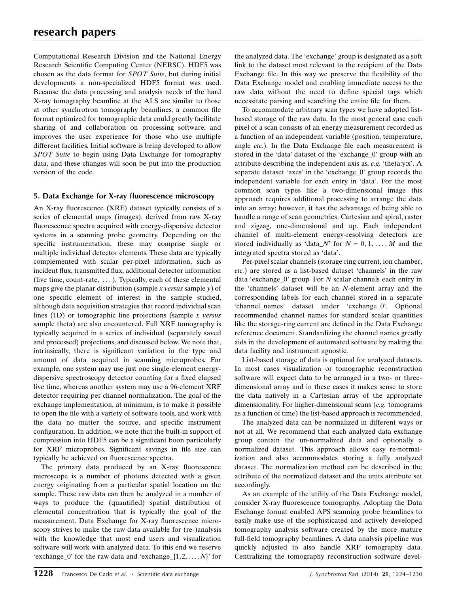Computational Research Division and the National Energy Research Scientific Computing Center (NERSC). HDF5 was chosen as the data format for SPOT Suite, but during initial developments a non-specialized HDF5 format was used. Because the data processing and analysis needs of the hard X-ray tomography beamline at the ALS are similar to those at other synchrotron tomography beamlines, a common file format optimized for tomographic data could greatly facilitate sharing of and collaboration on processing software, and improves the user experience for those who use multiple different facilities. Initial software is being developed to allow SPOT Suite to begin using Data Exchange for tomography data, and these changes will soon be put into the production version of the code.

#### 5. Data Exchange for X-ray fluorescence microscopy

An X-ray fluorescence (XRF) dataset typically consists of a series of elemental maps (images), derived from raw X-ray fluorescence spectra acquired with energy-dispersive detector systems in a scanning probe geometry. Depending on the specific instrumentation, these may comprise single or multiple individual detector elements. These data are typically complemented with scalar per-pixel information, such as incident flux, transmitted flux, additional detector information (live time, count-rate, ...). Typically, each of these elemental maps give the planar distribution (sample x versus sample y) of one specific element of interest in the sample studied, although data acquisition strategies that record individual scan lines  $(1D)$  or tomographic line projections (sample x versus sample theta) are also encountered. Full XRF tomography is typically acquired in a series of individual (separately saved and processed) projections, and discussed below. We note that, intrinsically, there is significant variation in the type and amount of data acquired in scanning microprobes. For example, one system may use just one single-element energydispersive spectroscopy detector counting for a fixed elapsed live time, whereas another system may use a 96-element XRF detector requiring per channel normalization. The goal of the exchange implementation, at minimum, is to make it possible to open the file with a variety of software tools, and work with the data no matter the source, and specific instrument configuration. In addition, we note that the built-in support of compression into HDF5 can be a significant boon particularly for XRF microprobes. Significant savings in file size can typically be achieved on fluorescence spectra.

The primary data produced by an X-ray fluorescence microscope is a number of photons detected with a given energy originating from a particular spatial location on the sample. These raw data can then be analyzed in a number of ways to produce the (quantified) spatial distribution of elemental concentration that is typically the goal of the measurement. Data Exchange for X-ray fluorescence microscopy strives to make the raw data available for (re-)analysis with the knowledge that most end users and visualization software will work with analyzed data. To this end we reserve 'exchange\_0' for the raw data and 'exchange\_ $\{1,2,\ldots,N\}$ ' for the analyzed data. The 'exchange' group is designated as a soft link to the dataset most relevant to the recipient of the Data Exchange file. In this way we preserve the flexibility of the Data Exchange model and enabling immediate access to the raw data without the need to define special tags which necessitate parsing and searching the entire file for them.

To accommodate arbitrary scan types we have adopted listbased storage of the raw data. In the most general case each pixel of a scan consists of an energy measurement recorded as a function of an independent variable (position, temperature, angle etc.). In the Data Exchange file each measurement is stored in the 'data' dataset of the 'exchange\_0' group with an attribute describing the independent axis as, e.g. 'theta:y:x'. A separate dataset 'axes' in the 'exchange\_0' group records the independent variable for each entry in 'data'. For the most common scan types like a two-dimensional image this approach requires additional processing to arrange the data into an array; however, it has the advantage of being able to handle a range of scan geometries: Cartesian and spiral, raster and zigzag, one-dimensional and up. Each independent channel of multi-element energy-resolving detectors are stored individually as 'data\_N' for  $N = 0, 1, ..., M$  and the integrated spectra stored as 'data'.

Per-pixel scalar channels (storage ring current, ion chamber, etc.) are stored as a list-based dataset 'channels' in the raw data 'exchange\_0' group. For N scalar channels each entry in the 'channels' dataset will be an N-element array and the corresponding labels for each channel stored in a separate 'channel\_names' dataset under 'exchange\_0'. Optional recommended channel names for standard scalar quantities like the storage-ring current are defined in the Data Exchange reference document. Standardizing the channel names greatly aids in the development of automated software by making the data facility and instrument agnostic.

List-based storage of data is optional for analyzed datasets. In most cases visualization or tomographic reconstruction software will expect data to be arranged in a two- or threedimensional array and in these cases it makes sense to store the data natively in a Cartesian array of the appropriate dimensionality. For higher-dimensional scans (e.g. tomograms as a function of time) the list-based approach is recommended.

The analyzed data can be normalized in different ways or not at all. We recommend that each analyzed data exchange group contain the un-normalized data and optionally a normalized dataset. This approach allows easy re-normalization and also accommodates storing a fully analyzed dataset. The normalization method can be described in the attribute of the normalized dataset and the units attribute set accordingly.

As an example of the utility of the Data Exchange model, consider X-ray fluorescence tomography. Adopting the Data Exchange format enabled APS scanning probe beamlines to easily make use of the sophisticated and actively developed tomography analysis software created by the more mature full-field tomography beamlines. A data analysis pipeline was quickly adjusted to also handle XRF tomography data. Centralizing the tomography reconstruction software devel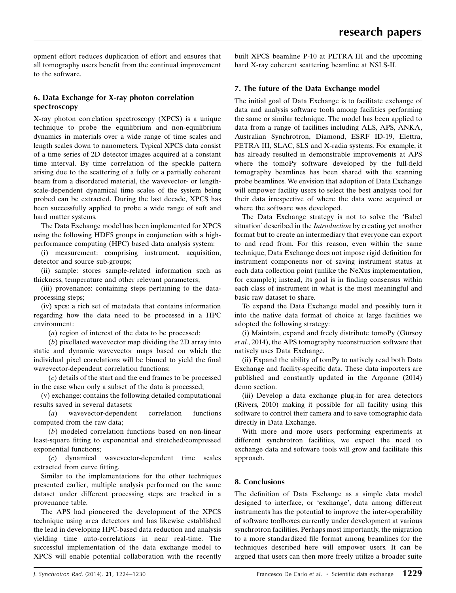opment effort reduces duplication of effort and ensures that all tomography users benefit from the continual improvement to the software.

### 6. Data Exchange for X-ray photon correlation spectroscopy

X-ray photon correlation spectroscopy (XPCS) is a unique technique to probe the equilibrium and non-equilibrium dynamics in materials over a wide range of time scales and length scales down to nanometers. Typical XPCS data consist of a time series of 2D detector images acquired at a constant time interval. By time correlation of the speckle pattern arising due to the scattering of a fully or a partially coherent beam from a disordered material, the wavevector- or lengthscale-dependent dynamical time scales of the system being probed can be extracted. During the last decade, XPCS has been successfully applied to probe a wide range of soft and hard matter systems.

The Data Exchange model has been implemented for XPCS using the following HDF5 groups in conjunction with a highperformance computing (HPC) based data analysis system:

(i) measurement: comprising instrument, acquisition, detector and source sub-groups;

(ii) sample: stores sample-related information such as thickness, temperature and other relevant parameters;

(iii) provenance: containing steps pertaining to the dataprocessing steps;

(iv) xpcs: a rich set of metadata that contains information regarding how the data need to be processed in a HPC environment:

(a) region of interest of the data to be processed;

(b) pixellated wavevector map dividing the 2D array into static and dynamic wavevector maps based on which the individual pixel correlations will be binned to yield the final wavevector-dependent correlation functions;

(c) details of the start and the end frames to be processed in the case when only a subset of the data is processed;

(v) exchange: contains the following detailed computational results saved in several datasets:

(a) wavevector-dependent correlation functions computed from the raw data;

(b) modeled correlation functions based on non-linear least-square fitting to exponential and stretched/compressed exponential functions;

(c) dynamical wavevector-dependent time scales extracted from curve fitting.

Similar to the implementations for the other techniques presented earlier, multiple analysis performed on the same dataset under different processing steps are tracked in a provenance table.

The APS had pioneered the development of the XPCS technique using area detectors and has likewise established the lead in developing HPC-based data reduction and analysis yielding time auto-correlations in near real-time. The successful implementation of the data exchange model to XPCS will enable potential collaboration with the recently built XPCS beamline P-10 at PETRA III and the upcoming hard X-ray coherent scattering beamline at NSLS-II.

#### 7. The future of the Data Exchange model

The initial goal of Data Exchange is to facilitate exchange of data and analysis software tools among facilities performing the same or similar technique. The model has been applied to data from a range of facilities including ALS, APS, ANKA, Australian Synchrotron, Diamond, ESRF ID-19, Elettra, PETRA III, SLAC, SLS and X-radia systems. For example, it has already resulted in demonstrable improvements at APS where the tomoPy software developed by the full-field tomography beamlines has been shared with the scanning probe beamlines. We envision that adoption of Data Exchange will empower facility users to select the best analysis tool for their data irrespective of where the data were acquired or where the software was developed.

The Data Exchange strategy is not to solve the 'Babel situation' described in the Introduction by creating yet another format but to create an intermediary that everyone can export to and read from. For this reason, even within the same technique, Data Exchange does not impose rigid definition for instrument components nor of saving instrument status at each data collection point (unlike the NeXus implementation, for example); instead, its goal is in finding consensus within each class of instrument in what is the most meaningful and basic raw dataset to share.

To expand the Data Exchange model and possibly turn it into the native data format of choice at large facilities we adopted the following strategy:

(i) Maintain, expand and freely distribute tomoPy (Gürsoy et al., 2014), the APS tomography reconstruction software that natively uses Data Exchange.

(ii) Expand the ability of tomPy to natively read both Data Exchange and facility-specific data. These data importers are published and constantly updated in the Argonne (2014) demo section.

(iii) Develop a data exchange plug-in for area detectors (Rivers, 2010) making it possible for all facility using this software to control their camera and to save tomographic data directly in Data Exchange.

With more and more users performing experiments at different synchrotron facilities, we expect the need to exchange data and software tools will grow and facilitate this approach.

#### 8. Conclusions

The definition of Data Exchange as a simple data model designed to interface, or 'exchange', data among different instruments has the potential to improve the inter-operability of software toolboxes currently under development at various synchrotron facilities. Perhaps most importantly, the migration to a more standardized file format among beamlines for the techniques described here will empower users. It can be argued that users can then more freely utilize a broader suite